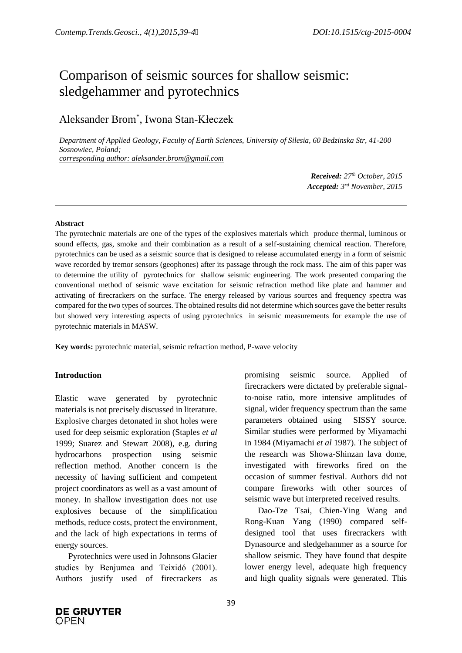# Comparison of seismic sources for shallow seismic: sledgehammer and pyrotechnics

# Aleksander Brom\* , Iwona Stan-Kłeczek

*Department of Applied Geology, Faculty of Earth Sciences, University of Silesia, 60 Bedzinska Str, 41-200 Sosnowiec, Poland; corresponding author: aleksander.brom@gmail.com*

> *Received: 27 th October, 2015 Accepted: 3 rd November, 2015*

#### **Abstract**

The pyrotechnic materials are one of the types of the explosives materials which produce thermal, luminous or sound effects, gas, smoke and their combination as a result of a self-sustaining chemical reaction. Therefore, pyrotechnics can be used as a seismic source that is designed to release accumulated energy in a form of seismic wave recorded by tremor sensors (geophones) after its passage through the rock mass. The aim of this paper was to determine the utility of pyrotechnics for shallow seismic engineering. The work presented comparing the conventional method of seismic wave excitation for seismic refraction method like plate and hammer and activating of firecrackers on the surface. The energy released by various sources and frequency spectra was compared for the two types of sources. The obtained results did not determine which sources gave the better results but showed very interesting aspects of using pyrotechnics in seismic measurements for example the use of pyrotechnic materials in MASW.

**Key words:** pyrotechnic material, seismic refraction method, P-wave velocity

#### **Introduction**

Elastic wave generated by pyrotechnic materials is not precisely discussed in literature. Explosive charges detonated in shot holes were used for deep seismic exploration (Staples *et al* 1999; Suarez and Stewart 2008), e.g. during hydrocarbons prospection using seismic reflection method. Another concern is the necessity of having sufficient and competent project coordinators as well as a vast amount of money. In shallow investigation does not use explosives because of the simplification methods, reduce costs, protect the environment, and the lack of high expectations in terms of energy sources.

Pyrotechnics were used in Johnsons Glacier studies by Benjumea and Teixidó (2001). Authors justify used of firecrackers as

promising seismic source. Applied of firecrackers were dictated by preferable signalto-noise ratio, more intensive amplitudes of signal, wider frequency spectrum than the same parameters obtained using SISSY source. Similar studies were performed by Miyamachi in 1984 (Miyamachi *et al* 1987). The subject of the research was Showa-Shinzan lava dome, investigated with fireworks fired on the occasion of summer festival. Authors did not compare fireworks with other sources of seismic wave but interpreted received results.

Dao-Tze Tsai, Chien-Ying Wang and Rong-Kuan Yang (1990) compared selfdesigned tool that uses firecrackers with Dynasource and sledgehammer as a source for shallow seismic. They have found that despite lower energy level, adequate high frequency and high quality signals were generated. This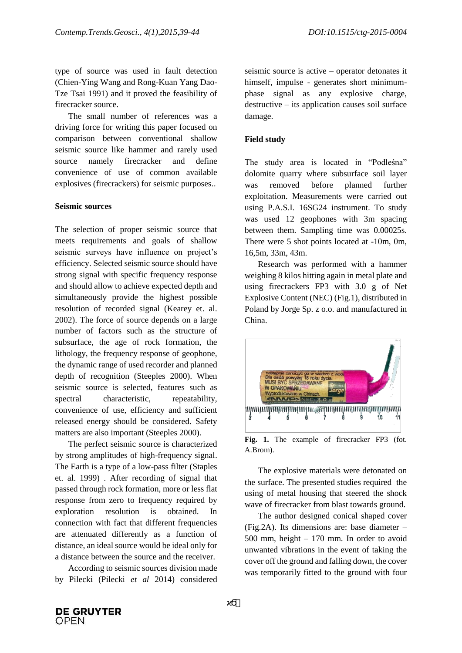type of source was used in fault detection (Chien-Ying Wang and Rong-Kuan Yang Dao-Tze Tsai 1991) and it proved the feasibility of firecracker source.

The small number of references was a driving force for writing this paper focused on comparison between conventional shallow seismic source like hammer and rarely used source namely firecracker and define convenience of use of common available explosives (firecrackers) for seismic purposes..

#### **Seismic sources**

The selection of proper seismic source that meets requirements and goals of shallow seismic surveys have influence on project's efficiency. Selected seismic source should have strong signal with specific frequency response and should allow to achieve expected depth and simultaneously provide the highest possible resolution of recorded signal (Kearey et. al. 2002). The force of source depends on a large number of factors such as the structure of subsurface, the age of rock formation, the lithology, the frequency response of geophone, the dynamic range of used recorder and planned depth of recognition (Steeples 2000). When seismic source is selected, features such as spectral characteristic, repeatability, convenience of use, efficiency and sufficient released energy should be considered. Safety matters are also important (Steeples 2000).

The perfect seismic source is characterized by strong amplitudes of high-frequency signal. The Earth is a type of a low-pass filter (Staples et. al. 1999) . After recording of signal that passed through rock formation, more or less flat response from zero to frequency required by exploration resolution is obtained. In connection with fact that different frequencies are attenuated differently as a function of distance, an ideal source would be ideal only for a distance between the source and the receiver.

According to seismic sources division made by Pilecki (Pilecki *et al* 2014) considered

ϰϬ

seismic source is active – operator detonates it himself, impulse - generates short minimumphase signal as any explosive charge, destructive – its application causes soil surface damage.

#### **Field study**

The study area is located in "Podleśna" dolomite quarry where subsurface soil layer was removed before planned further exploitation. Measurements were carried out using P.A.S.I. 16SG24 instrument. To study was used 12 geophones with 3m spacing between them. Sampling time was 0.00025s. There were 5 shot points located at -10m, 0m, 16,5m, 33m, 43m.

Research was performed with a hammer weighing 8 kilos hitting again in metal plate and using firecrackers FP3 with 3.0 g of Net Explosive Content (NEC) (Fig.1), distributed in Poland by Jorge Sp. z o.o. and manufactured in China.



**Fig. 1.** The example of firecracker FP3 (fot. A.Brom).

The explosive materials were detonated on the surface. The presented studies required the using of metal housing that steered the shock wave of firecracker from blast towards ground.

The author designed conical shaped cover (Fig.2A). Its dimensions are: base diameter – 500 mm, height – 170 mm. In order to avoid unwanted vibrations in the event of taking the cover off the ground and falling down, the cover was temporarily fitted to the ground with four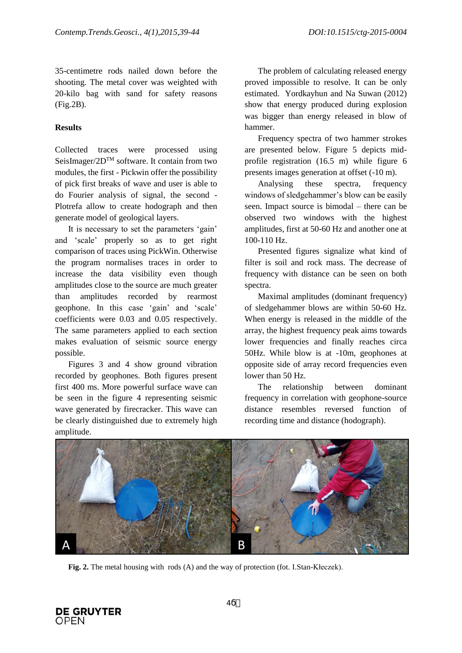35-centimetre rods nailed down before the shooting. The metal cover was weighted with 20-kilo bag with sand for safety reasons (Fig.2B).

## **Results**

Collected traces were processed using SeisImager/2DTM software. It contain from two modules, the first - Pickwin offer the possibility of pick first breaks of wave and user is able to do Fourier analysis of signal, the second - Plotrefa allow to create hodograph and then generate model of geological layers.

It is necessary to set the parameters 'gain' and 'scale' properly so as to get right comparison of traces using PickWin. Otherwise the program normalises traces in order to increase the data visibility even though amplitudes close to the source are much greater than amplitudes recorded by rearmost geophone. In this case 'gain' and 'scale' coefficients were 0.03 and 0.05 respectively. The same parameters applied to each section makes evaluation of seismic source energy possible.

Figures 3 and 4 show ground vibration recorded by geophones. Both figures present first 400 ms. More powerful surface wave can be seen in the figure 4 representing seismic wave generated by firecracker. This wave can be clearly distinguished due to extremely high amplitude.

The problem of calculating released energy proved impossible to resolve. It can be only estimated. Yordkayhun and Na Suwan (2012) show that energy produced during explosion was bigger than energy released in blow of hammer.

Frequency spectra of two hammer strokes are presented below. Figure 5 depicts midprofile registration (16.5 m) while figure 6 presents images generation at offset (-10 m).

Analysing these spectra, frequency windows of sledgehammer's blow can be easily seen. Impact source is bimodal – there can be observed two windows with the highest amplitudes, first at 50-60 Hz and another one at 100-110 Hz.

Presented figures signalize what kind of filter is soil and rock mass. The decrease of frequency with distance can be seen on both spectra.

Maximal amplitudes (dominant frequency) of sledgehammer blows are within 50-60 Hz. When energy is released in the middle of the array, the highest frequency peak aims towards lower frequencies and finally reaches circa 50Hz. While blow is at -10m, geophones at opposite side of array record frequencies even lower than 50 Hz.

The relationship between dominant frequency in correlation with geophone-source distance resembles reversed function of recording time and distance (hodograph).



**Fig. 2.** The metal housing with rods (A) and the way of protection (fot. I.Stan-Kłeczek).

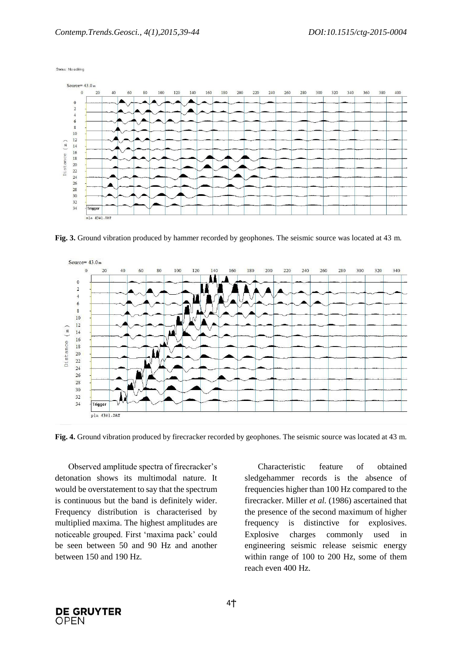Status : No editing



**Fig. 3.** Ground vibration produced by hammer recorded by geophones. The seismic source was located at 43 m.



**Fig. 4.** Ground vibration produced by firecracker recorded by geophones. The seismic source was located at 43 m.

Observed amplitude spectra of firecracker's detonation shows its multimodal nature. It would be overstatement to say that the spectrum is continuous but the band is definitely wider. Frequency distribution is characterised by multiplied maxima. The highest amplitudes are noticeable grouped. First 'maxima pack' could be seen between 50 and 90 Hz and another between 150 and 190 Hz.

Characteristic feature of obtained sledgehammer records is the absence of frequencies higher than 100 Hz compared to the firecracker. Miller *et al.* (1986) ascertained that the presence of the second maximum of higher frequency is distinctive for explosives. Explosive charges commonly used in engineering seismic release seismic energy within range of 100 to 200 Hz, some of them reach even 400 Hz.

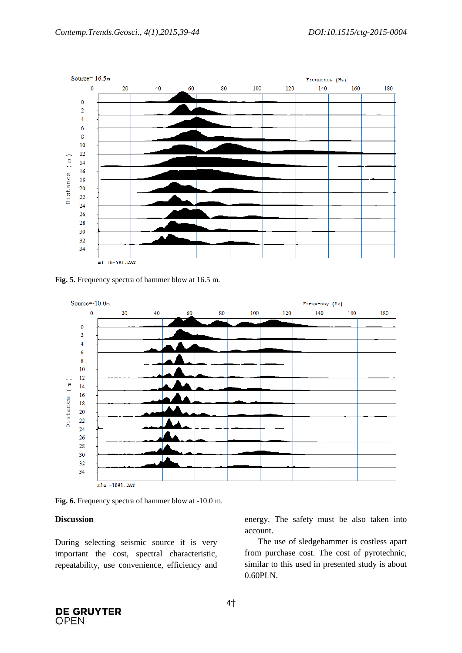

**Fig. 5.** Frequency spectra of hammer blow at 16.5 m.



**Fig. 6.** Frequency spectra of hammer blow at -10.0 m.

#### **Discussion**

During selecting seismic source it is very important the cost, spectral characteristic, repeatability, use convenience, efficiency and energy. The safety must be also taken into account.

The use of sledgehammer is costless apart from purchase cost. The cost of pyrotechnic, similar to this used in presented study is about 0.60PLN.

**DE GRUYTER OPEN**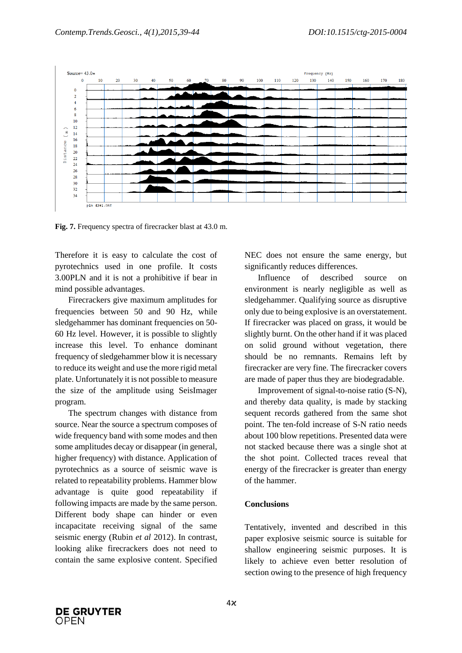

**Fig. 7.** Frequency spectra of firecracker blast at 43.0 m.

Therefore it is easy to calculate the cost of pyrotechnics used in one profile. It costs 3.00PLN and it is not a prohibitive if bear in mind possible advantages.

Firecrackers give maximum amplitudes for frequencies between 50 and 90 Hz, while sledgehammer has dominant frequencies on 50- 60 Hz level. However, it is possible to slightly increase this level. To enhance dominant frequency of sledgehammer blow it is necessary to reduce its weight and use the more rigid metal plate. Unfortunately it is not possible to measure the size of the amplitude using SeisImager program.

The spectrum changes with distance from source. Near the source a spectrum composes of wide frequency band with some modes and then some amplitudes decay or disappear (in general, higher frequency) with distance. Application of pyrotechnics as a source of seismic wave is related to repeatability problems. Hammer blow advantage is quite good repeatability if following impacts are made by the same person. Different body shape can hinder or even incapacitate receiving signal of the same seismic energy (Rubin *et al* 2012). In contrast, looking alike firecrackers does not need to contain the same explosive content. Specified NEC does not ensure the same energy, but significantly reduces differences.

Influence of described source on environment is nearly negligible as well as sledgehammer. Qualifying source as disruptive only due to being explosive is an overstatement. If firecracker was placed on grass, it would be slightly burnt. On the other hand if it was placed on solid ground without vegetation, there should be no remnants. Remains left by firecracker are very fine. The firecracker covers are made of paper thus they are biodegradable.

Improvement of signal-to-noise ratio (S-N), and thereby data quality, is made by stacking sequent records gathered from the same shot point. The ten-fold increase of S-N ratio needs about 100 blow repetitions. Presented data were not stacked because there was a single shot at the shot point. Collected traces reveal that energy of the firecracker is greater than energy of the hammer.

#### **Conclusions**

Tentatively, invented and described in this paper explosive seismic source is suitable for shallow engineering seismic purposes. It is likely to achieve even better resolution of section owing to the presence of high frequency